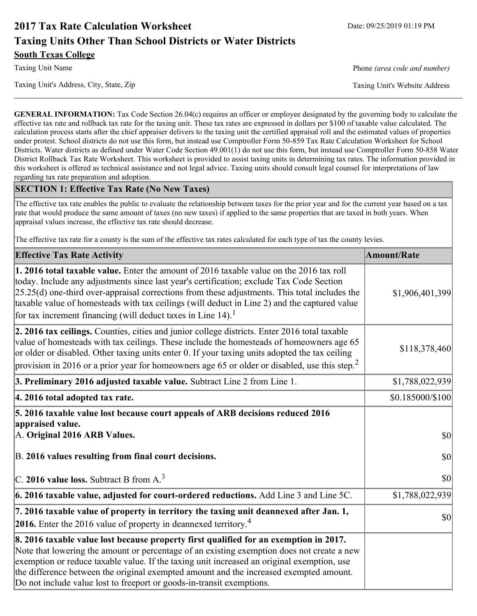# **2017 Tax Rate Calculation Worksheet** Date: 09/25/2019 01:19 PM **Taxing Units Other Than School Districts or Water Districts South Texas College**

Taxing Unit Name **Phone** *(area code and number)* Phone *(area code and number)* 

Taxing Unit's Address, City, State, Zip Taxing Unit's Website Address

**GENERAL INFORMATION:** Tax Code Section 26.04(c) requires an officer or employee designated by the governing body to calculate the effective tax rate and rollback tax rate for the taxing unit. These tax rates are expressed in dollars per \$100 of taxable value calculated. The calculation process starts after the chief appraiser delivers to the taxing unit the certified appraisal roll and the estimated values of properties under protest. School districts do not use this form, but instead use Comptroller Form 50-859 Tax Rate Calculation Worksheet for School Districts. Water districts as defined under Water Code Section 49.001(1) do not use this form, but instead use Comptroller Form 50-858 Water District Rollback Tax Rate Worksheet. This worksheet is provided to assist taxing units in determining tax rates. The information provided in this worksheet is offered as technical assistance and not legal advice. Taxing units should consult legal counsel for interpretations of law regarding tax rate preparation and adoption.

### **SECTION 1: Effective Tax Rate (No New Taxes)**

The effective tax rate enables the public to evaluate the relationship between taxes for the prior year and for the current year based on a tax rate that would produce the same amount of taxes (no new taxes) if applied to the same properties that are taxed in both years. When appraisal values increase, the effective tax rate should decrease.

The effective tax rate for a county is the sum of the effective tax rates calculated for each type of tax the county levies.

| <b>Effective Tax Rate Activity</b>                                                                                                                                                                                                                                                                                                                                                                                                                             | <b>Amount/Rate</b> |
|----------------------------------------------------------------------------------------------------------------------------------------------------------------------------------------------------------------------------------------------------------------------------------------------------------------------------------------------------------------------------------------------------------------------------------------------------------------|--------------------|
| <b>1. 2016 total taxable value.</b> Enter the amount of 2016 taxable value on the 2016 tax roll<br>today. Include any adjustments since last year's certification; exclude Tax Code Section<br>$[25.25(d)$ one-third over-appraisal corrections from these adjustments. This total includes the<br>taxable value of homesteads with tax ceilings (will deduct in Line 2) and the captured value<br>for tax increment financing (will deduct taxes in Line 14). | \$1,906,401,399    |
| 2. 2016 tax ceilings. Counties, cities and junior college districts. Enter 2016 total taxable<br>value of homesteads with tax ceilings. These include the homesteads of homeowners age 65<br>or older or disabled. Other taxing units enter 0. If your taxing units adopted the tax ceiling<br>provision in 2016 or a prior year for homeowners age 65 or older or disabled, use this step. <sup>2</sup>                                                       | \$118,378,460      |
| 3. Preliminary 2016 adjusted taxable value. Subtract Line 2 from Line 1.                                                                                                                                                                                                                                                                                                                                                                                       | \$1,788,022,939    |
| 4. 2016 total adopted tax rate.                                                                                                                                                                                                                                                                                                                                                                                                                                | \$0.185000/\$100   |
| 5. 2016 taxable value lost because court appeals of ARB decisions reduced 2016<br>appraised value.<br>A. Original 2016 ARB Values.                                                                                                                                                                                                                                                                                                                             | <b>\$0</b>         |
| B. 2016 values resulting from final court decisions.                                                                                                                                                                                                                                                                                                                                                                                                           | \$0                |
| C. 2016 value loss. Subtract B from $A3$                                                                                                                                                                                                                                                                                                                                                                                                                       | $ 10\rangle$       |
| 6. 2016 taxable value, adjusted for court-ordered reductions. Add Line 3 and Line 5C.                                                                                                                                                                                                                                                                                                                                                                          | \$1,788,022,939    |
| 7. 2016 taxable value of property in territory the taxing unit deannexed after Jan. 1,<br><b>2016.</b> Enter the 2016 value of property in deannexed territory. <sup>4</sup>                                                                                                                                                                                                                                                                                   | <b>\$0</b>         |
| 8. 2016 taxable value lost because property first qualified for an exemption in 2017.<br>Note that lowering the amount or percentage of an existing exemption does not create a new<br>exemption or reduce taxable value. If the taxing unit increased an original exemption, use<br>the difference between the original exempted amount and the increased exempted amount.<br>Do not include value lost to freeport or goods-in-transit exemptions.           |                    |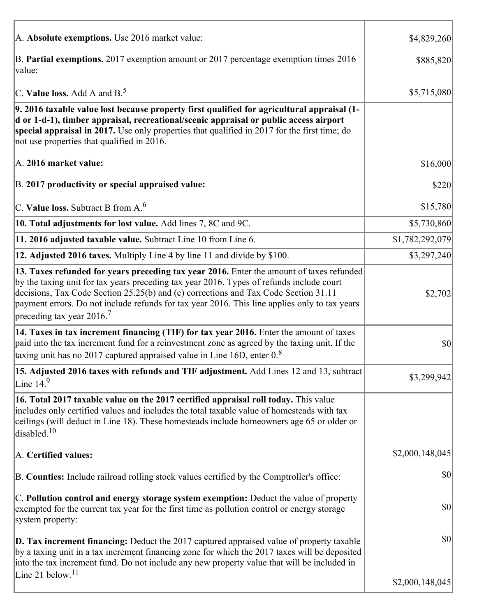| A. Absolute exemptions. Use 2016 market value:                                                                                                                                                                                                                                                                                                                                                                         | \$4,829,260     |
|------------------------------------------------------------------------------------------------------------------------------------------------------------------------------------------------------------------------------------------------------------------------------------------------------------------------------------------------------------------------------------------------------------------------|-----------------|
| B. Partial exemptions. 2017 exemption amount or 2017 percentage exemption times 2016<br>value:                                                                                                                                                                                                                                                                                                                         | \$885,820       |
| C. Value loss. Add A and $B^5$ .                                                                                                                                                                                                                                                                                                                                                                                       | \$5,715,080     |
| 9. 2016 taxable value lost because property first qualified for agricultural appraisal (1-<br>d or 1-d-1), timber appraisal, recreational/scenic appraisal or public access airport<br>special appraisal in 2017. Use only properties that qualified in 2017 for the first time; do<br>not use properties that qualified in 2016.                                                                                      |                 |
| A. 2016 market value:                                                                                                                                                                                                                                                                                                                                                                                                  | \$16,000        |
| B. 2017 productivity or special appraised value:                                                                                                                                                                                                                                                                                                                                                                       | \$220           |
| C. Value loss. Subtract B from $A6$                                                                                                                                                                                                                                                                                                                                                                                    | \$15,780        |
| 10. Total adjustments for lost value. Add lines 7, 8C and 9C.                                                                                                                                                                                                                                                                                                                                                          | \$5,730,860     |
| 11. 2016 adjusted taxable value. Subtract Line 10 from Line 6.                                                                                                                                                                                                                                                                                                                                                         | \$1,782,292,079 |
| 12. Adjusted 2016 taxes. Multiply Line 4 by line 11 and divide by \$100.                                                                                                                                                                                                                                                                                                                                               | \$3,297,240     |
| 13. Taxes refunded for years preceding tax year 2016. Enter the amount of taxes refunded<br>by the taxing unit for tax years preceding tax year 2016. Types of refunds include court<br>decisions, Tax Code Section 25.25(b) and (c) corrections and Tax Code Section 31.11<br>payment errors. Do not include refunds for tax year 2016. This line applies only to tax years<br>preceding tax year $2016$ <sup>7</sup> | \$2,702         |
| 14. Taxes in tax increment financing (TIF) for tax year 2016. Enter the amount of taxes<br>paid into the tax increment fund for a reinvestment zone as agreed by the taxing unit. If the<br>taxing unit has no 2017 captured appraised value in Line 16D, enter $08$                                                                                                                                                   | \$0             |
| 15. Adjusted 2016 taxes with refunds and TIF adjustment. Add Lines 12 and 13, subtract<br>Line $149$                                                                                                                                                                                                                                                                                                                   | \$3,299,942     |
| 16. Total 2017 taxable value on the 2017 certified appraisal roll today. This value<br>includes only certified values and includes the total taxable value of homesteads with tax<br>ceilings (will deduct in Line 18). These homesteads include homeowners age 65 or older or<br>disabled. <sup>10</sup>                                                                                                              |                 |
| A. Certified values:                                                                                                                                                                                                                                                                                                                                                                                                   | \$2,000,148,045 |
| B. Counties: Include railroad rolling stock values certified by the Comptroller's office:                                                                                                                                                                                                                                                                                                                              | \$0             |
| C. Pollution control and energy storage system exemption: Deduct the value of property<br>exempted for the current tax year for the first time as pollution control or energy storage<br>system property:                                                                                                                                                                                                              | \$0             |
| <b>D. Tax increment financing:</b> Deduct the 2017 captured appraised value of property taxable<br>by a taxing unit in a tax increment financing zone for which the 2017 taxes will be deposited<br>into the tax increment fund. Do not include any new property value that will be included in                                                                                                                        | \$0             |
| Line 21 below. $11$                                                                                                                                                                                                                                                                                                                                                                                                    | \$2,000,148,045 |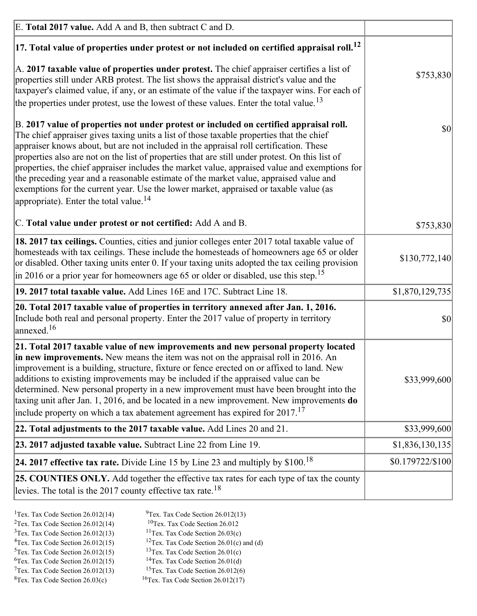| E. Total 2017 value. Add A and B, then subtract C and D.                                                                                                                                                                                                                                                                                                                                                                                                                                                                                                                                                                                                                                                                 |                  |
|--------------------------------------------------------------------------------------------------------------------------------------------------------------------------------------------------------------------------------------------------------------------------------------------------------------------------------------------------------------------------------------------------------------------------------------------------------------------------------------------------------------------------------------------------------------------------------------------------------------------------------------------------------------------------------------------------------------------------|------------------|
| $ 17$ . Total value of properties under protest or not included on certified appraisal roll. <sup>12</sup>                                                                                                                                                                                                                                                                                                                                                                                                                                                                                                                                                                                                               |                  |
| $\vert$ A. 2017 taxable value of properties under protest. The chief appraiser certifies a list of<br>properties still under ARB protest. The list shows the appraisal district's value and the<br>taxpayer's claimed value, if any, or an estimate of the value if the taxpayer wins. For each of<br>the properties under protest, use the lowest of these values. Enter the total value. <sup>13</sup>                                                                                                                                                                                                                                                                                                                 | \$753,830        |
| B. 2017 value of properties not under protest or included on certified appraisal roll.<br>The chief appraiser gives taxing units a list of those taxable properties that the chief<br>appraiser knows about, but are not included in the appraisal roll certification. These<br>properties also are not on the list of properties that are still under protest. On this list of<br>properties, the chief appraiser includes the market value, appraised value and exemptions for<br>the preceding year and a reasonable estimate of the market value, appraised value and<br>exemptions for the current year. Use the lower market, appraised or taxable value (as<br>appropriate). Enter the total value. <sup>14</sup> | \$0              |
| C. Total value under protest or not certified: Add A and B.                                                                                                                                                                                                                                                                                                                                                                                                                                                                                                                                                                                                                                                              | \$753,830        |
| 18. 2017 tax ceilings. Counties, cities and junior colleges enter 2017 total taxable value of<br>homesteads with tax ceilings. These include the homesteads of homeowners age 65 or older<br>or disabled. Other taxing units enter 0. If your taxing units adopted the tax ceiling provision<br>$\vert$ in 2016 or a prior year for homeowners age 65 or older or disabled, use this step. <sup>15</sup>                                                                                                                                                                                                                                                                                                                 | \$130,772,140    |
| 19. 2017 total taxable value. Add Lines 16E and 17C. Subtract Line 18.                                                                                                                                                                                                                                                                                                                                                                                                                                                                                                                                                                                                                                                   | \$1,870,129,735  |
| 20. Total 2017 taxable value of properties in territory annexed after Jan. 1, 2016.<br>Include both real and personal property. Enter the 2017 value of property in territory<br>annexed. <sup>16</sup>                                                                                                                                                                                                                                                                                                                                                                                                                                                                                                                  | $ 10\rangle$     |
| 21. Total 2017 taxable value of new improvements and new personal property located<br>in new improvements. New means the item was not on the appraisal roll in 2016. An<br>improvement is a building, structure, fixture or fence erected on or affixed to land. New<br>additions to existing improvements may be included if the appraised value can be<br>determined. New personal property in a new improvement must have been brought into the<br>taxing unit after Jan. 1, 2016, and be located in a new improvement. New improvements do<br>include property on which a tax abatement agreement has expired for $2017$ . <sup>17</sup>                                                                             | \$33,999,600     |
| 22. Total adjustments to the 2017 taxable value. Add Lines 20 and 21.                                                                                                                                                                                                                                                                                                                                                                                                                                                                                                                                                                                                                                                    | \$33,999,600     |
| 23. 2017 adjusted taxable value. Subtract Line 22 from Line 19.                                                                                                                                                                                                                                                                                                                                                                                                                                                                                                                                                                                                                                                          | \$1,836,130,135  |
| 24. 2017 effective tax rate. Divide Line 15 by Line 23 and multiply by $$100$ . <sup>18</sup>                                                                                                                                                                                                                                                                                                                                                                                                                                                                                                                                                                                                                            | \$0.179722/\$100 |
| <b>25. COUNTIES ONLY.</b> Add together the effective tax rates for each type of tax the county<br>levies. The total is the 2017 county effective tax rate. <sup>18</sup>                                                                                                                                                                                                                                                                                                                                                                                                                                                                                                                                                 |                  |

- <sup>2</sup>Tex. Tax Code Section 26.012(14)
- <sup>1</sup>Tex. Tax Code Section 26.012(14) <sup>9</sup>Tex. Tax Code Section 26.012(13) <sup>9</sup>Tex. Tax Code Section 26.012
	-
- <sup>3</sup>Tex. Tax Code Section 26.012(13) <sup>11</sup>Tex. Tax Code Section 26.03(c) <sup>4</sup>Tex. Tax Code Section 26.01(c) and <sup>12</sup>Tex. Tax Code Section 26.01(c) and <sup>12</sup>Tex. Tax Code Section 26.01(c) and <sup>12</sup>Tex. Tax Code Section 26.01(c) <sup>12</sup>Tex. Tax Code Section 26.01(c) and (d)
	-
- 
- <sup>5</sup>Tex. Tax Code Section 26.012(15) <sup>13</sup>Tex. Tax Code Section 26.01(c) <sup>6</sup>Tex. Tax Code Section 26.01(d)
- <sup>6</sup>Tex. Tax Code Section 26.012(15) <sup>14</sup>Tex. Tax Code Section 26.01(d)<sup>7</sup>Tex. Tax Code Section 26.012(6)
- $7$ Tex. Tax Code Section 26.012(13)  ${}^{8}$ Tex. Tax Code Section 26.03(c)  ${}^{16}$ Tex. Tax Code Section 26.012(17)
	-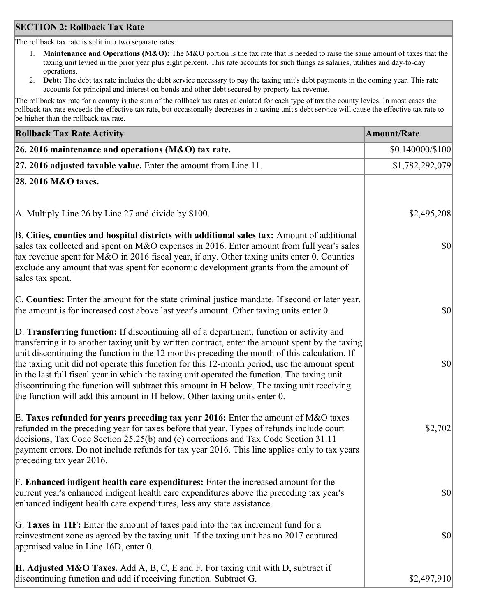## **SECTION 2: Rollback Tax Rate**

The rollback tax rate is split into two separate rates:

- 1. **Maintenance and Operations (M&O):** The M&O portion is the tax rate that is needed to raise the same amount of taxes that the taxing unit levied in the prior year plus eight percent. This rate accounts for such things as salaries, utilities and day-to-day operations.
- 2. **Debt:** The debt tax rate includes the debt service necessary to pay the taxing unit's debt payments in the coming year. This rate accounts for principal and interest on bonds and other debt secured by property tax revenue.

The rollback tax rate for a county is the sum of the rollback tax rates calculated for each type of tax the county levies. In most cases the rollback tax rate exceeds the effective tax rate, but occasionally decreases in a taxing unit's debt service will cause the effective tax rate to be higher than the rollback tax rate.

| <b>Rollback Tax Rate Activity</b>                                                                                                                                                                                                                                                                                                                                                                                                                                                                                                                                                                                                                                       | <b>Amount/Rate</b> |
|-------------------------------------------------------------------------------------------------------------------------------------------------------------------------------------------------------------------------------------------------------------------------------------------------------------------------------------------------------------------------------------------------------------------------------------------------------------------------------------------------------------------------------------------------------------------------------------------------------------------------------------------------------------------------|--------------------|
| 26. 2016 maintenance and operations (M&O) tax rate.                                                                                                                                                                                                                                                                                                                                                                                                                                                                                                                                                                                                                     | \$0.140000/\$100   |
| 27. 2016 adjusted taxable value. Enter the amount from Line 11.                                                                                                                                                                                                                                                                                                                                                                                                                                                                                                                                                                                                         | \$1,782,292,079    |
| 28. 2016 M&O taxes.                                                                                                                                                                                                                                                                                                                                                                                                                                                                                                                                                                                                                                                     |                    |
|                                                                                                                                                                                                                                                                                                                                                                                                                                                                                                                                                                                                                                                                         |                    |
| A. Multiply Line 26 by Line 27 and divide by $$100$ .                                                                                                                                                                                                                                                                                                                                                                                                                                                                                                                                                                                                                   | \$2,495,208        |
| B. Cities, counties and hospital districts with additional sales tax: Amount of additional<br>sales tax collected and spent on M&O expenses in 2016. Enter amount from full year's sales<br>tax revenue spent for M&O in 2016 fiscal year, if any. Other taxing units enter 0. Counties<br>exclude any amount that was spent for economic development grants from the amount of<br>sales tax spent.                                                                                                                                                                                                                                                                     | \$0                |
| C. Counties: Enter the amount for the state criminal justice mandate. If second or later year,<br>the amount is for increased cost above last year's amount. Other taxing units enter 0.                                                                                                                                                                                                                                                                                                                                                                                                                                                                                | \$0                |
| D. Transferring function: If discontinuing all of a department, function or activity and<br>transferring it to another taxing unit by written contract, enter the amount spent by the taxing<br>unit discontinuing the function in the 12 months preceding the month of this calculation. If<br>the taxing unit did not operate this function for this 12-month period, use the amount spent<br>in the last full fiscal year in which the taxing unit operated the function. The taxing unit<br>discontinuing the function will subtract this amount in H below. The taxing unit receiving<br>the function will add this amount in H below. Other taxing units enter 0. | \$0                |
| E. Taxes refunded for years preceding tax year 2016: Enter the amount of M&O taxes<br>refunded in the preceding year for taxes before that year. Types of refunds include court<br>decisions, Tax Code Section 25.25(b) and (c) corrections and Tax Code Section 31.11<br>payment errors. Do not include refunds for tax year 2016. This line applies only to tax years<br>preceding tax year 2016.                                                                                                                                                                                                                                                                     | \$2,702            |
| F. Enhanced indigent health care expenditures: Enter the increased amount for the<br>current year's enhanced indigent health care expenditures above the preceding tax year's<br>enhanced indigent health care expenditures, less any state assistance.                                                                                                                                                                                                                                                                                                                                                                                                                 | $ 10\rangle$       |
| G. Taxes in TIF: Enter the amount of taxes paid into the tax increment fund for a<br>reinvestment zone as agreed by the taxing unit. If the taxing unit has no 2017 captured<br>appraised value in Line 16D, enter 0.                                                                                                                                                                                                                                                                                                                                                                                                                                                   | \$0                |
| <b>H. Adjusted M&amp;O Taxes.</b> Add A, B, C, E and F. For taxing unit with D, subtract if<br>discontinuing function and add if receiving function. Subtract G.                                                                                                                                                                                                                                                                                                                                                                                                                                                                                                        | \$2,497,910        |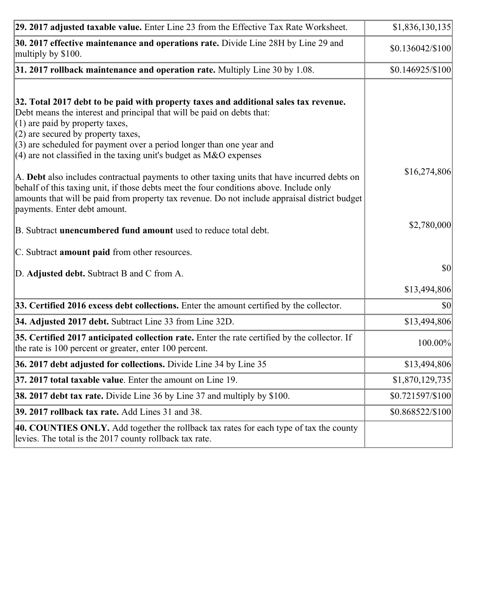| 29. 2017 adjusted taxable value. Enter Line 23 from the Effective Tax Rate Worksheet.                                                                                                                                                                                                                                                                                                                                                                                                                                                                                                                                                                                                                                     | \$1,836,130,135  |
|---------------------------------------------------------------------------------------------------------------------------------------------------------------------------------------------------------------------------------------------------------------------------------------------------------------------------------------------------------------------------------------------------------------------------------------------------------------------------------------------------------------------------------------------------------------------------------------------------------------------------------------------------------------------------------------------------------------------------|------------------|
| 30. 2017 effective maintenance and operations rate. Divide Line 28H by Line 29 and<br>multiply by \$100.                                                                                                                                                                                                                                                                                                                                                                                                                                                                                                                                                                                                                  | \$0.136042/\$100 |
| $31.2017$ rollback maintenance and operation rate. Multiply Line 30 by 1.08.                                                                                                                                                                                                                                                                                                                                                                                                                                                                                                                                                                                                                                              | \$0.146925/\$100 |
| 32. Total 2017 debt to be paid with property taxes and additional sales tax revenue.<br>Debt means the interest and principal that will be paid on debts that:<br>$(1)$ are paid by property taxes,<br>$(2)$ are secured by property taxes,<br>$(3)$ are scheduled for payment over a period longer than one year and<br>(4) are not classified in the taxing unit's budget as $M&O$ expenses<br>A. Debt also includes contractual payments to other taxing units that have incurred debts on<br>behalf of this taxing unit, if those debts meet the four conditions above. Include only<br>amounts that will be paid from property tax revenue. Do not include appraisal district budget<br>payments. Enter debt amount. | \$16,274,806     |
| B. Subtract unencumbered fund amount used to reduce total debt.                                                                                                                                                                                                                                                                                                                                                                                                                                                                                                                                                                                                                                                           | \$2,780,000      |
| C. Subtract amount paid from other resources.                                                                                                                                                                                                                                                                                                                                                                                                                                                                                                                                                                                                                                                                             |                  |
| D. Adjusted debt. Subtract B and C from A.                                                                                                                                                                                                                                                                                                                                                                                                                                                                                                                                                                                                                                                                                | $ 10\rangle$     |
|                                                                                                                                                                                                                                                                                                                                                                                                                                                                                                                                                                                                                                                                                                                           | \$13,494,806     |
| 33. Certified 2016 excess debt collections. Enter the amount certified by the collector.                                                                                                                                                                                                                                                                                                                                                                                                                                                                                                                                                                                                                                  | \$0              |
| 34. Adjusted 2017 debt. Subtract Line 33 from Line 32D.                                                                                                                                                                                                                                                                                                                                                                                                                                                                                                                                                                                                                                                                   | \$13,494,806     |
| 35. Certified 2017 anticipated collection rate. Enter the rate certified by the collector. If<br>the rate is 100 percent or greater, enter 100 percent.                                                                                                                                                                                                                                                                                                                                                                                                                                                                                                                                                                   | 100.00%          |
| 36. 2017 debt adjusted for collections. Divide Line 34 by Line 35                                                                                                                                                                                                                                                                                                                                                                                                                                                                                                                                                                                                                                                         | \$13,494,806     |
| 37. 2017 total taxable value. Enter the amount on Line 19.                                                                                                                                                                                                                                                                                                                                                                                                                                                                                                                                                                                                                                                                | \$1,870,129,735  |
| <b>38. 2017 debt tax rate.</b> Divide Line 36 by Line 37 and multiply by \$100.                                                                                                                                                                                                                                                                                                                                                                                                                                                                                                                                                                                                                                           | \$0.721597/\$100 |
| 39. 2017 rollback tax rate. Add Lines 31 and 38.                                                                                                                                                                                                                                                                                                                                                                                                                                                                                                                                                                                                                                                                          | \$0.868522/\$100 |
| 40. COUNTIES ONLY. Add together the rollback tax rates for each type of tax the county<br>levies. The total is the 2017 county rollback tax rate.                                                                                                                                                                                                                                                                                                                                                                                                                                                                                                                                                                         |                  |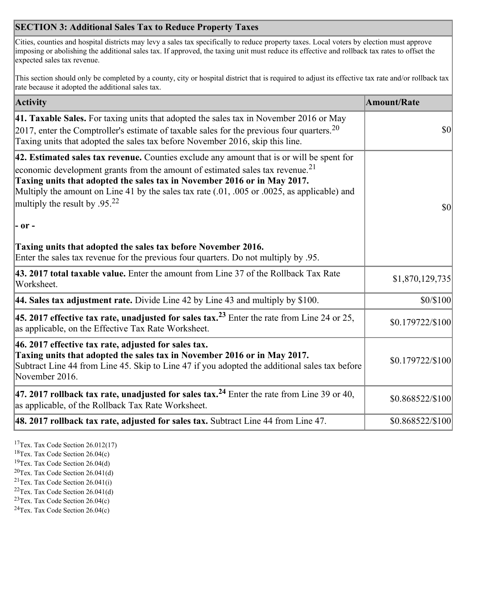## **SECTION 3: Additional Sales Tax to Reduce Property Taxes**

Cities, counties and hospital districts may levy a sales tax specifically to reduce property taxes. Local voters by election must approve imposing or abolishing the additional sales tax. If approved, the taxing unit must reduce its effective and rollback tax rates to offset the expected sales tax revenue.

This section should only be completed by a county, city or hospital district that is required to adjust its effective tax rate and/or rollback tax rate because it adopted the additional sales tax.

| <b>Activity</b>                                                                                                                                                                                                                                                                                                                                                                                                 | <b>Amount/Rate</b> |
|-----------------------------------------------------------------------------------------------------------------------------------------------------------------------------------------------------------------------------------------------------------------------------------------------------------------------------------------------------------------------------------------------------------------|--------------------|
| 41. Taxable Sales. For taxing units that adopted the sales tax in November 2016 or May<br>$[2017]$ , enter the Comptroller's estimate of taxable sales for the previous four quarters. <sup>20</sup><br>Taxing units that adopted the sales tax before November 2016, skip this line.                                                                                                                           | $\vert$ so $\vert$ |
| 42. Estimated sales tax revenue. Counties exclude any amount that is or will be spent for<br>economic development grants from the amount of estimated sales tax revenue. <sup>21</sup><br>Taxing units that adopted the sales tax in November 2016 or in May 2017.<br>Multiply the amount on Line 41 by the sales tax rate (.01, .005 or .0025, as applicable) and<br>multiply the result by .95. <sup>22</sup> | \$0                |
| - or -                                                                                                                                                                                                                                                                                                                                                                                                          |                    |
| Taxing units that adopted the sales tax before November 2016.<br>Enter the sales tax revenue for the previous four quarters. Do not multiply by .95.                                                                                                                                                                                                                                                            |                    |
| 43. 2017 total taxable value. Enter the amount from Line 37 of the Rollback Tax Rate<br>Worksheet.                                                                                                                                                                                                                                                                                                              | \$1,870,129,735    |
| 44. Sales tax adjustment rate. Divide Line 42 by Line 43 and multiply by $$100$ .                                                                                                                                                                                                                                                                                                                               | \$0/\$100          |
| 45. 2017 effective tax rate, unadjusted for sales tax. <sup>23</sup> Enter the rate from Line 24 or 25,<br>as applicable, on the Effective Tax Rate Worksheet.                                                                                                                                                                                                                                                  | \$0.179722/\$100   |
| 46. 2017 effective tax rate, adjusted for sales tax.<br>Taxing units that adopted the sales tax in November 2016 or in May 2017.<br>Subtract Line 44 from Line 45. Skip to Line 47 if you adopted the additional sales tax before<br>November 2016.                                                                                                                                                             | \$0.179722/\$100   |
| 47. 2017 rollback tax rate, unadjusted for sales tax. <sup>24</sup> Enter the rate from Line 39 or 40,<br>as applicable, of the Rollback Tax Rate Worksheet.                                                                                                                                                                                                                                                    | \$0.868522/\$100   |
| $ 48.2017$ rollback tax rate, adjusted for sales tax. Subtract Line 44 from Line 47.                                                                                                                                                                                                                                                                                                                            | \$0.868522/\$100   |

<sup>17</sup>Tex. Tax Code Section 26.012(17)

<sup>18</sup>Tex. Tax Code Section 26.04(c)

<sup>19</sup>Tex. Tax Code Section 26.04(d)

<sup>20</sup>Tex. Tax Code Section 26.041(d)

- $21$ Tex. Tax Code Section 26.041(i)
- <sup>22</sup>Tex. Tax Code Section 26.041(d)
- <sup>23</sup>Tex. Tax Code Section  $26.04(c)$

<sup>24</sup>Tex. Tax Code Section  $26.04(c)$